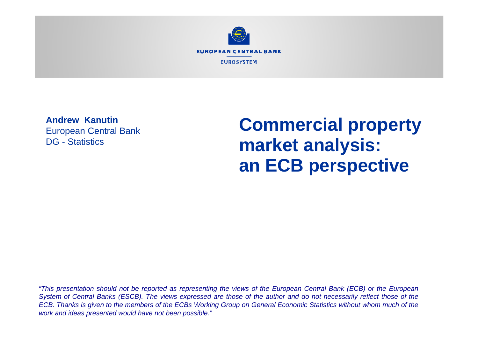

**Andrew Kanutin**European Central Bank DG - Statistics

**Commercial property market analysis: an ECB perspective**

*"This presentation should not be reported as representing the views of the European Central Bank (ECB) or the European System of Central Banks (ESCB). The views expressed are those of the author and do not necessarily reflect those of the ECB. Thanks is given to the members of the ECBs Working Group on General Economic Statistics without whom much of the work and ideas presented would have not been possible."*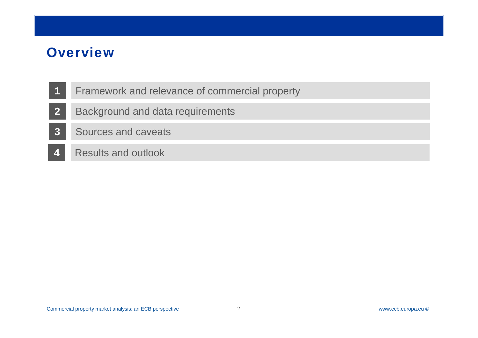- **1**Framework and relevance of commercial property
- **2** Background and data requirements
- **3**Sources and caveats
- **4**Results and outlook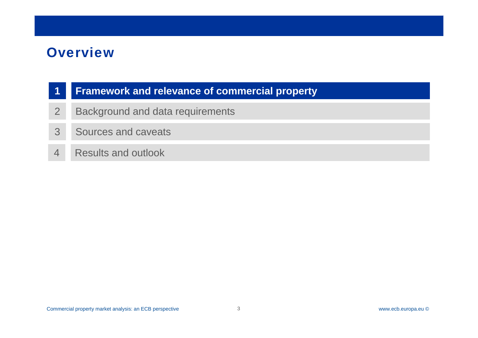#### **1Framework and relevance of commercial property**

- 2 Background and data requirements
- 3Sources and caveats
- 4Results and outlook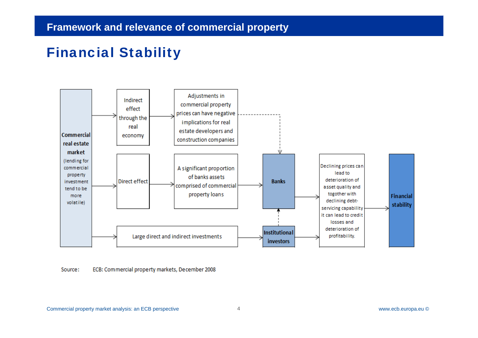### Financial Stability



ECB: Commercial property markets, December 2008 Source: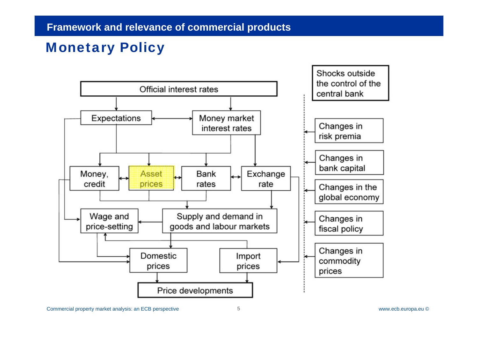## Monetary Policy

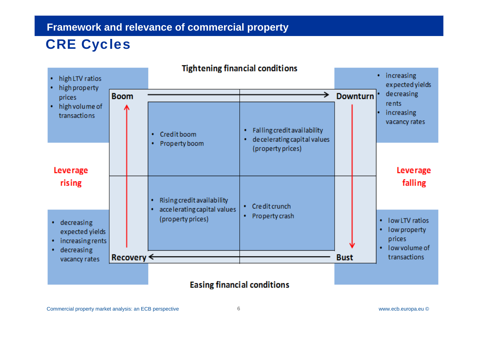### **Framework and relevance of commercial property**

## CRE Cycles

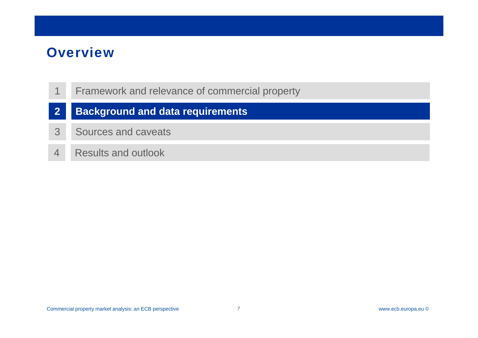- 1Framework and relevance of commercial property
- **2 Background and data requirements**
- 3Sources and caveats
- 4Results and outlook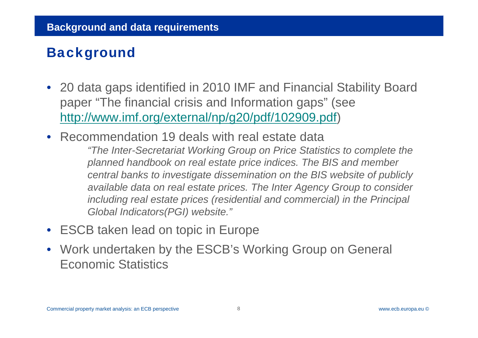# **Background**

- 20 data gaps identified in 2010 IMF and Financial Stability Board paper "The financial crisis and Information gaps" (see http://www.imf.org/external/np/g20/pdf/102909.pdf)
- $\bullet$  Recommendation 19 deals with real estate data*"The Inter-Secretariat Working Group on Price Statistics to complete the planned handbook on real estate price indices. The BIS and member central banks to investigate dissemination on the BIS website of publicly available data on real estate prices. The Inter Agency Group to consider including real estate prices (residential and commercial) in the Principal Global Indicators(PGI) website."*
- ESCB taken lead on topic in Europe
- Work undertaken by the ESCB's Working Group on General Economic Statistics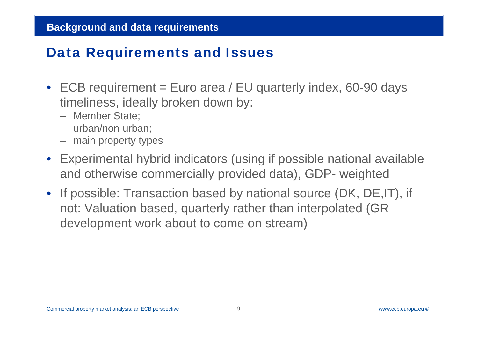## Data Requirements and Issues

- ECB requirement = Euro area / EU quarterly index, 60-90 days timeliness, ideally broken down by:
	- Member State;
	- urban/non-urban;
	- main property types
- Experimental hybrid indicators (using if possible national available and otherwise commercially provided data), GDP- weighted
- If possible: Transaction based by national source (DK, DE,IT), if not: Valuation based, quarterly rather than interpolated (GR development work about to come on stream)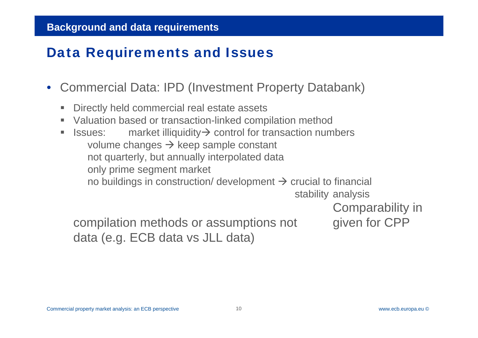## Data Requirements and Issues

- Commercial Data: IPD (Investment Property Databank)
	- $\blacksquare$ Directly held commercial real estate assets
	- Valuation based or transaction-linked compilation method
	- $\mathbf{r}$ Issues: market illiquidity  $\rightarrow$  control for transaction numbers volume changes  $\rightarrow$  keep sample constant not quarterly, but annually interpolated data only prime segment market no buildings in construction/ development  $\rightarrow$  crucial to financial stability analysis

compilation methods or assumptions not given for CPP data (e.g. ECB data vs JLL data)

Comparability in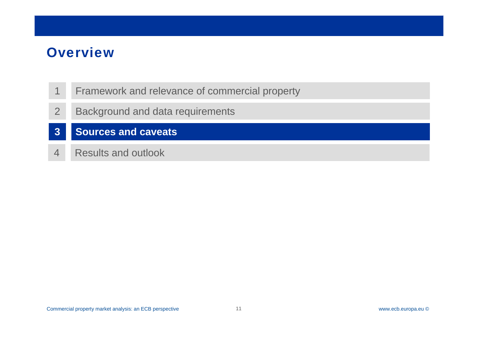- 1Framework and relevance of commercial property
- 2Background and data requirements
- **3Sources and caveats**
- 4Results and outlook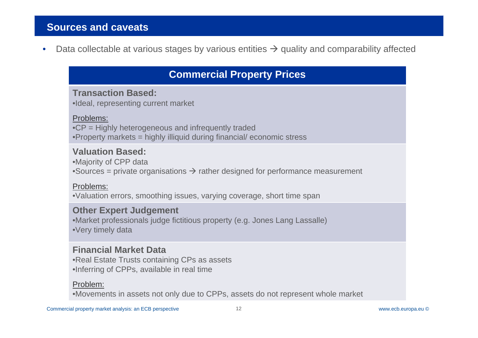$\bullet$ Data collectable at various stages by various entities  $\rightarrow$  quality and comparability affected

### **Commercial Property Prices**

#### **Transaction Based:**

•Ideal, representing current market

#### Problems:

•CP = Highly heterogeneous and infrequently traded •Property markets = highly illiquid during financial/ economic stress

#### **Valuation Based:**

•Majority of CPP data •Sources = private organisations  $\rightarrow$  rather designed for performance measurement

#### Problems:

•Valuation errors, smoothing issues, varying coverage, short time span

#### **Other Expert Judgement**

•Market professionals judge fictitious property (e.g. Jones Lang Lassalle) •Very timely data

#### **Financial Market Data**

•Real Estate Trusts containing CPs as assets •Inferring of CPPs, available in real time

#### Problem:

•Movements in assets not only due to CPPs, assets do not represent whole market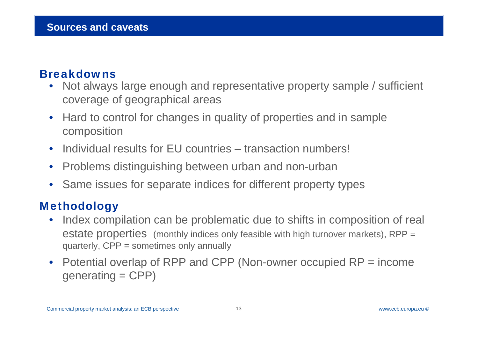### Breakdowns

- • Not always large enough and representative property sample / sufficient coverage of geographical areas
- $\bullet$  Hard to control for changes in quality of properties and in sample composition
- $\bullet$ Individual results for EU countries – transaction numbers!
- $\bullet$ Problems distinguishing between urban and non-urban
- $\bullet$ Same issues for separate indices for different property types

### **Methodology**

- $\bullet$  Index compilation can be problematic due to shifts in composition of real estate properties (monthly indices only feasible with high turnover markets), RPP = quarterly, CPP = sometimes only annually
- $\bullet$  Potential overlap of RPP and CPP (Non-owner occupied RP = income  $generating = CPP$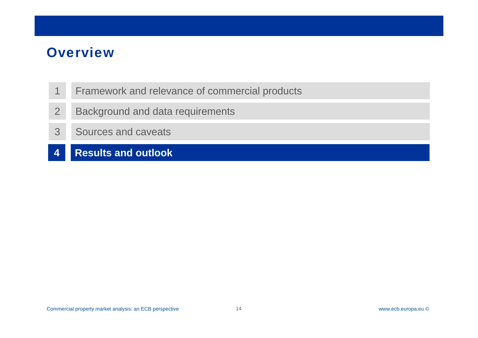- 1Framework and relevance of commercial products
- 2Background and data requirements
- 3Sources and caveats
- **4Results and outlook**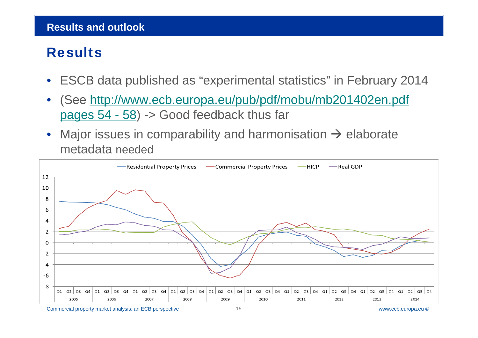## **Results**

- $\bullet$ ESCB data published as "experimental statistics" in February 2014
- $\bullet$  (See http://www.ecb.europa.eu/pub/pdf/mobu/mb201402en.pdf pages 54 - 58) -> Good feedback thus far
- $\bullet$ Major issues in comparability and harmonisation  $\rightarrow$  elaborate metadata needed



Commercial property market analysis: an ECB perspective 15

www.ecb.europa.eu ©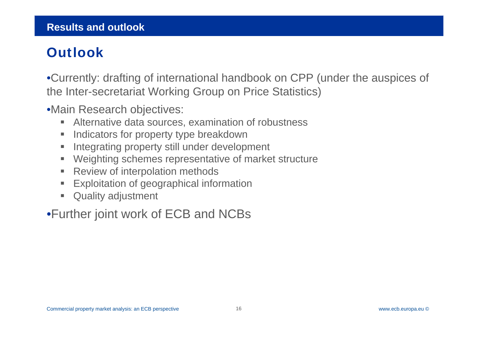## **Outlook**

•Currently: drafting of international handbook on CPP (under the auspices of the Inter-secretariat Working Group on Price Statistics)

•Main Research objectives:

- Alternative data sources, examination of robustness
- $\blacksquare$ Indicators for property type breakdown
- $\blacksquare$ Integrating property still under development
- $\blacksquare$ Weighting schemes representative of market structure
- $\blacksquare$ Review of interpolation methods
- П Exploitation of geographical information
- **Quality adjustment**

•Further joint work of ECB and NCBs